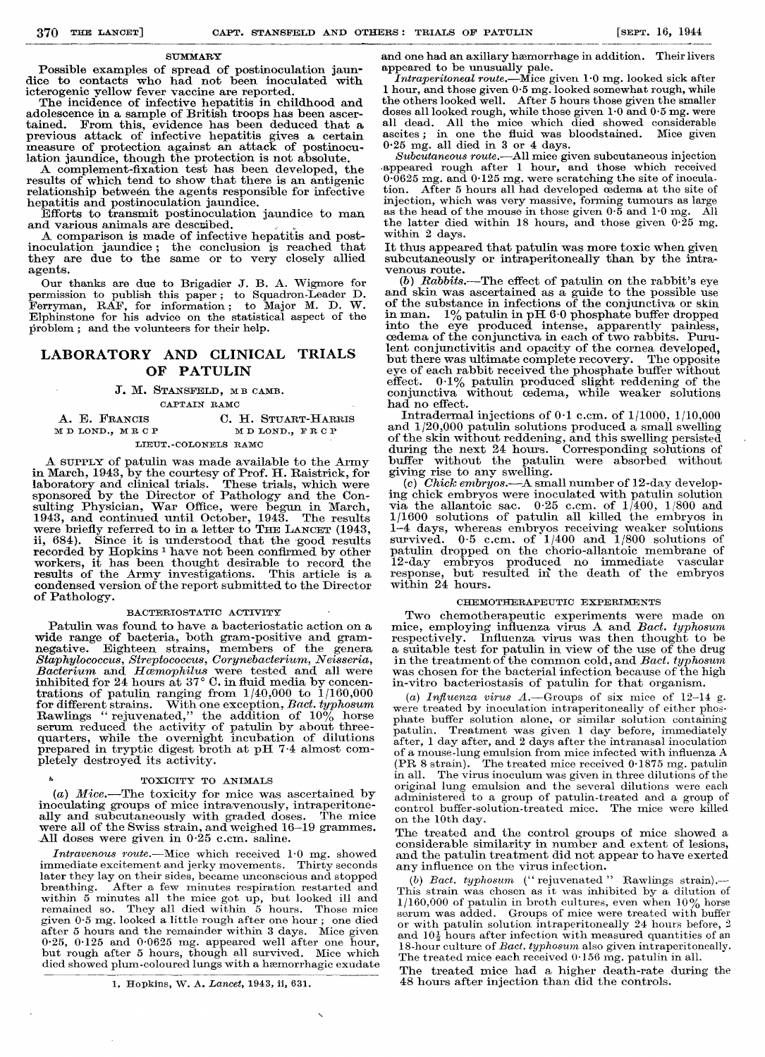#### **SUMMARY**

Possible examples of spread of postinoculation jaundice to contacts who had not been inoculated with icterogenic yellow fever vaccine are reported.

The incidence of infective hepatitis in childhood and adolescence in a sample of British troops has been asceradolescence in a sample of British troops has been ascertained. From this, evidence has been deduced that a previous attack of infective hepatitis gives a certain measure of protection against an attack of postinoculation jaundice, though the protection is not absolute.

A complement-fixation test has been developed, the results of which tend to show that there is an antigenic relationship between the agents responsible for infective hepatitis and postinoculation jaundice.

Efforts to transmit postinoculation jaundice to man and various animals are described.

A comparison is made of infective hepatitis and postinoculation jaundice; the conclusion is reached that<br>they are due to the same or to very closely allied agents.

Our thanks are due to Brigadier J. B. A. Wigmore for<br>permission to publish this paper; to Squadron-Leader D.<br>Ferryman, RAF, for information; to Major M. D. W. Elphinstone for his advice on the statistical aspect of the problem; and the volunteers for their help.

# LABORATORY AND CLINICAL TRIALS OF PATULIN

# J. M. STANSFELD, MB CAMB.

CAPTAIN RAMC

| A. E. FRANCIS        | C. H. STUART-HARRIS |
|----------------------|---------------------|
| MDLOND., MRCP        | MD LOND FRCP        |
| LIEUT. COLONELS RAMC |                     |

A SUPPLY of patulin was made available to the Army<br>in March, 1943, by the courtesy of Prof. H. Raistrick, for<br>laboratory and clinical trials. These trials, which were raboratory and chinear trials. These trials, which were<br>sponsored by the Director of Pathology and the Con-<br>sulting Physician, War Office, were begun in March,<br>1943, and continued until October, 1943. The results<br>were brie Since it is understood that the good results ii.  $684$ ). recorded by Hopkins<sup>1</sup> have not been confirmed by other workers, it has been thought desirable to record the results of the Army investigations. This article is a condensed version of the report submitted to the Director of Pathology.

### BACTERIOSTATIC ACTIVITY

Patulin was found to have a bacteriostatic action on a wide range of bacteria, both gram-positive and gramnegative. Eighteen strains, members of the general Staphylococcus, Streptococcus, Corynebacterium, Neisseria, negative. Bacterium and Hamophilus were tested and all were<br>inhibited for 24 hours at 37° C. in fluid media by concentrations of patulin ranging from  $1/40,000$  to  $1/160,000$ for different strains. With one exception, *Bact. typhosum* Rawlings "rejuvenated," the addition of  $10\%$  horse serum reduced the activity of patulin by about three-<br>quarters, while the overnight incubation of dilutions prepared in tryptic digest broth at pH 7.4 almost completely destroyed its activity.

### TOXICITY TO ANIMALS

(a) Mice.—The toxicity for mice was ascertained by inoculating groups of mice intravenously, intraperitoneally and subcutaneously with graded doses. The mice were all of the Swiss strain, and weighed 16-19 grammes. All doses were given in  $0.25$  c.cm. saline.

Intravenous route.—Mice which received 1.0 mg. showed immediate excitement and jerky movements. Thirty seconds later they lay on their sides, became unconscious and stopped breathing. After a few minutes respiration restarted and within 5 minutes all the mice got up, but looked ill and<br>remained so. They all died within 5 hours. Those mice given 0.5 mg. looked a little rough after one hour; one died after 5 hours and the remainder within 3 days. Mice given 0.25, 0.125 and 0.0625 mg. appeared well after one hour,<br>but rough after 5 hours, though all survived. Mice which<br>died showed plum-coloured lungs with a hæmorrhagic exudate

1. Hopkins, W. A. Lancet, 1943, ii, 631.

and one had an axillary hæmorrhage in addition. Their livers and one has an anticipally pale.<br> *Intraperitoneal route*.—Mice given 1.0 mg. looked sick after

I hour, and those given 0.5 mg. looked somewhat rough, while<br>the others looked well. After 5 hours those given the smaller doses all looked rough, while those given 1.0 and 0.5 mg. were all dead. All the mice which died showed considerable ascites; in one the fluid was bloodstained.<br>0.25 mg. all died in 3 or 4 days. Mice given

Subcutaneous route.—All mice given subcutaneous injection<br>appeared rough after 1 hour, and those which received  $0.0625$  mg. and  $0.125$  mg. were scratching the site of inoculation. After 5 hours all had developed cedema at the site of injection, which was very massive, forming tumours as large as the head of the mouse in those given  $0.\overline{5}$  and  $1.0$  mg. All the latter died within 18 hours, and those given  $0.\overline{25}$  mg. within 2 days.

It thus appeared that patulin was more toxic when given subcutaneously or intraperitoneally than by the intravenous route.

(b) Rabbits.—The effect of patulin on the rabbit's eye and skin was ascertained as a guide to the possible use of the substance in infections of the conjunctiva or skin of the substance in inections of the conjunctiva of skin<br>in man. 1% patulin in pH 6.0 phosphate buffer dropped<br>into the eye produced intense, apparently painless,<br>cedema of the conjunctiva in each of two rabbits. Purulent conjunctivitis and opacity of the cornea developed, but there was ultimate complete recovery. The opposite eye of each rabbit received the phosphate buffer without effect. 0.1% patulin produced slight reddening of the<br>conjunctiva without cedema, while weaker solutions had no effect.

Intradermal injections of  $0.1$  c.cm. of  $1/1000$ ,  $1/10,000$ and 1/20,000 patulin solutions produced a small swelling of the skin without reddening, and this swelling persisted<br>during the next 24 hours. Corresponding solutions of buffer without the patulin were absorbed without<br>giving rise to any swelling.

(c) Chick embryos.—A small number of 12-day developing chick embryos were inoculated with patulin solution<br>via the allantoic sac.  $0.25$  c.cm. of  $1/400$ ,  $1/800$  and 1/1600 solutions of patulin all killed the embryos in  $1-4$  days, whereas embryos receiving weaker solutions survived. 0.5 c.cm. of  $1/400$  and  $1/800$  solutions of patulin dropped on the chorio-allantoic membrane of<br>12-day embryos produced no immediate vascular<br>response, but resulted in the death of the embryos within 24 hours.

### CHEMOTHERAPEUTIC EXPERIMENTS

Two chemotherapeutic experiments were made on mice, employing influenza virus A and Bact. typhosum respectively. Influenza virus was then thought to be a suitable test for patulin in view of the use of the drug<br>in the treatment of the common cold, and *Bact. typhosum* was chosen for the bacterial infection because of the high in-vitro bacteriostasis of patulin for that organism.

(a) Influenza virus  $A$ . - Groups of six mice of 12-14 g. were treated by inoculation intraperitoneally of either phosphate buffer solution alone, or similar solution containing Treatment was given 1 day before, immediately patulin. after, 1 day after, and 2 days after the intranasal inoculation of a mouse-lung emulsion from mice infected with influenza  ${\bf A}$  $(PR 8 strain)$ . The treated mice received  $0.1875$  mg. patulin The virus inoculum was given in three dilutions of the in all. original lung emulsion and the several dilutions were each administered to a group of patulin-treated and a group of control buffer-solution-treated mice. The mice were killed on the 10th day.

The treated and the control groups of mice showed a considerable similarity in number and extent of lesions, and the patulin treatment did not appear to have exerted any influence on the virus infection.

(b) Bact. typhosum ("rejuvenated" Rawlings strain).—<br>This strain was chosen as it was inhibited by a dilution of  $1/160,000$  of patulin in broth cultures, even when  $10\%$  horse serum was added. Groups of mice were treated with buffer or with patulin solution intraperitoneally 24 hours before, 2 and  $10\frac{1}{2}$  hours after infection with measured quantities of an 18-hour culture of Bact. typhosum also given intraperitoneally. The treated mice each received 0.156 mg. patulin in all.

The treated mice had a higher death-rate during the 48 hours after injection than did the controls.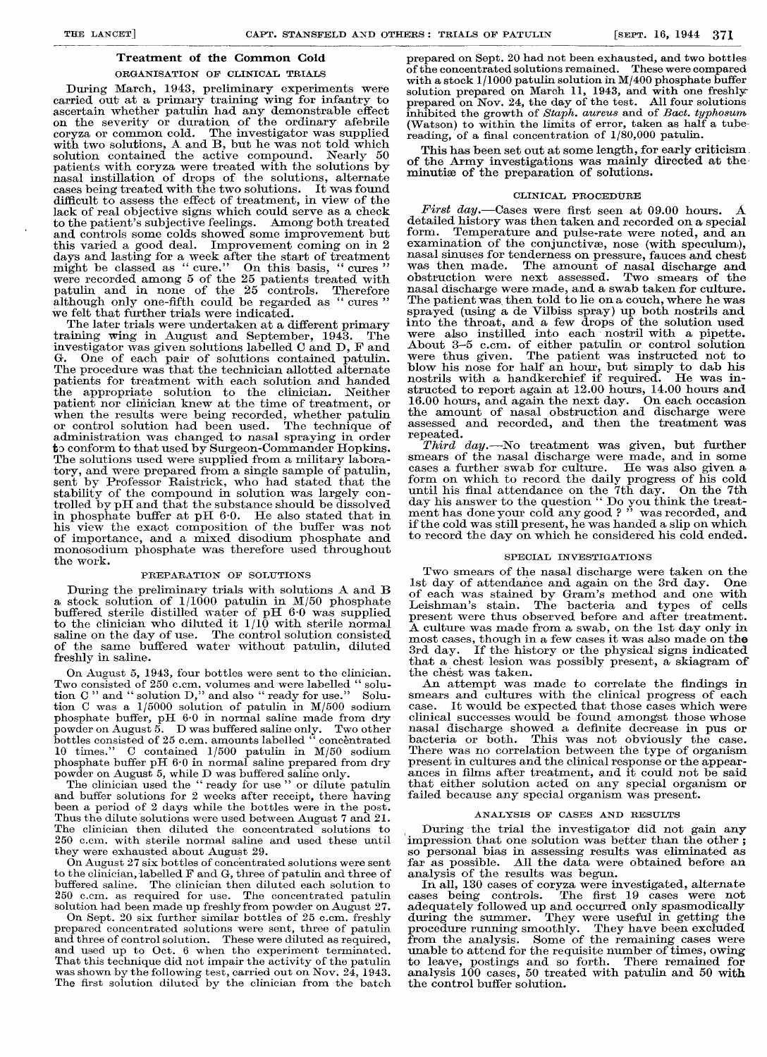## Treatment of the Common Cold ORGANISATION OF CLINICAL TRIALS

During March, 1943, preliminary experime During march, 1945, premiunary experience<br>counted out at a primary training wing for carried out at a primary training wing for carried out at a primary training wing for ascertain whether patulin had any demonstrable ascertain whether patulin had any demonstrated on the severity or duration of the ordina coryza or common cold. The investigator was a with two solutions, A and B, but he was not told solution contained the active compound. 50 pointer ventering the second complement of the solution patients with coryza were treated with the so partities when year were created when the solutions. nasal instillation of drops of the solutions, cases being treated with the two solutions. It difficult to assess the effect of treatment, in v lack of real objective signs which could serve a to the patient's subjective feelings. Among b and controls some colds showed some improvem and controls some colds showed some improver this varied a good deal. Improvement coming or this varied a good deal. Improvement coming days and lasting for a week after the start of t days and lasting for a week after the start  $\alpha$ might be classed as "cure." On this basis, "<br>were recorded among 5 of the 25 patients treat might be classed as "cure." On this basis, were recorded among 5 of the 25 patients to patulin and in none of the 25 controls. patulin and in none of the 25 controls. although only one-fifth could be regarded as although only one-fifth could be regarded as "cures" we felt that further trials were indicated.

The later trials were undertaken at a different training wing in August and September, 194 The investigator was given solutions labelled C and D, G. One of each pair of solutions contained p The procedure was that the technician allotted patients for treatment with each solution and hal patients for treatment with each solution and the appropriate solution to the clinician. the appropriate solution to the clinician. patient nor clinician knew at the time of treatm when the results were being recorded, whether pay when the results were being recorded, whether or control solution had been used. The techn or control solution had been used. The techn administration was changed to nasal spraying in to conform to that used by Surgeon-Commander Hopkins. The solutions used were supplied from a military tory, and were prepared from a single sample of sent by Professor Raistrick, who had stated stability of the compound in solution was largel trolled by pH and that the substance should be d in phosphate buffer at pH 6.0. He also stated in phosphate buffer at pH 6.0. He also stat his view the exact composition of the buffer his view the exact composition of the buffer of importance, and a mixed disodium phospha monosodium phosphate was therefore used through<br>the work the work.

## PREPARATION OF SOLUTIONS

During the preliminary trials with solutions  $\mu$ a stock solution of  $1/1000$  patulin in  $M/50$  p buffered sterile distilled water of pH 6.0 wa to the clinician who diluted it  $1/10$  with ster saline on the day of use. The control solution of the same buffered water without patuling freshly in saline. During the preliminary trials with solutions A and B puing the premimally trials with solution.  $\alpha$  sooth solution of 1/1000 partial in m/00 pm punered sterne distinct water of pri vo was of the same building water without partitum,

On August 5, 1943, four bottles were sent to the On August 5, 1943, four bottles were sent to the Two consisted of 250 c.cm. volumes and were labelled solu-Two consisted of  $250$  c.cm. volumes and were labelle tion  $C$  " and " solution  $D$ ," and also " ready for use." Solution  $C$ tion C " and " solution D," and also " ready for use tion C was a  $1/5000$  solution of patulin in M/50 phosphate buffer,  $pH_0 \cdot 0$  in normal saline made f powder on August 5. D was buffered saline only. Two other<br>bottles consisted of 25 c.cm. amounts labelled "concentrated  $\qquad \qquad {\rm power~on~August~5.} \quad {\rm D~was~buffered~saline~only.} \quad {\rm T}$ bottles consisted of 25 c.cm. amounts labelled "conc 10 times." C contained  $1/500$  patulin in  $M/50$  s phosphate buffer pH  $6.0$  in normal saline prepared powder on August 5, while D was buffered saline only. powder on August 5, while D was buffered saline

The clinician used the "ready for use" or dilu and buffer solutions for 2 weeks after receipt, the been a period of 2 days while the bottles were in the post. Thus the dilute solutions were used between August 7 and 2 The clinician then diluted the concentrated solutions to During the 250 c.cm. with sterile normal saline and used thes they were exhausted about August 29. The clinician used the "ready for use" or dilu and buffer solutions for 2 weeks after receipt, the

 $\alpha$  On August 27 six bottles of concentrated solutions we to the clinician, labelled  $F$  and  $G$ , three of patulin and buffered saline. The clinician then diluted each solution 250 c.cm. as required for use. The concentrated p solution had been made up freshly from powder o 250 e.cm. as required for use. The concentrated solution had been made up freshly from powder on Augus

On Sept. 20 six further similar bottles of  $25$  c. prepared concentrated solutions were sent, three of and three of control solution. These were diluted as and used up to Oct. 6 when the experiment term That this technique did not impair the activity of was shown by the following test, carried out on No The first solution diluted by the clinician from and used up to Oct. 6 when the experiment ter That this technique did not impair the activity of  $t$ . was shown by the following test, carried out on Nov<br>The first solution diluted by the clinician from

prepared on Sept. 20 had not been exhausted, and two bottles  $of the concentrated solutions remained.$ These were compared with a stock  $1/1000$  patulin solution in M/400 phosphate buffer solution prepared on March 11, 1943, and with one freshly-<br>prepared on Nov. 24, the day of the test. All four solutions inhibited the growth of Staph. aureus and of Bact. typhosum (Watson) to within the limits of error, taken as half a tubereading, of a final concentration of 1/80,000 patulin.

This has been set out at some length, for early criticism. of the Army investigations was mainly directed at the minutiæ of the preparation of solutions.

## CLINICAL PROCEDURE

First day.-Cases were first seen at 09.00 hours. detailed history was then taken and recorded on a special Temperature and pulse-rate were noted, and an  $form.$ examination of the conjunctivæ, nose (with speculum), nasal sinuses for tenderness on pressure, fauces and chest was then made. The amount of nasal discharge and obstruction were next assessed. Two smears of the nasal discharge were made, and a swab taken for culture. were also instilled into each nostril with a pipette.<br>About 3-5 c.cm. of either patulin or control solution<br>were thus given. The patient was instructed not to blow his nose for half an hour, but simply to dab his nostrils with a handkerchief if required. He was instructed to report again at 12.00 hours, 14.00 hours and 16.00 hours, and again the next day. On each occasion 16.00 hours, and again the next day. the amount of nasal obstruction and discharge were assessed and recorded, and then the treatment was repeated.

Third day.—No treatment was given, but further smears of the nasal discharge were made, and in some cases a further swab for culture. He was also given a form on which to record the daily progress of his cold until his final attendance on the 7th day. On the 7th day his answer to the question "Do you think the treat-<br>ment has done your cold any good?" was recorded, and if the cold was still present, he was handed a slip on which to record the day on which he considered his cold ended.

### SPECIAL INVESTIGATIONS

Two smears of the nasal discharge were taken on the 1st day of attendance and again on the 3rd day. One ist day of attenuance and again on the 3rd day. One<br>of each was stained by Gram's method and one with<br>Leishman's stain. The bacteria and types of cells present were thus observed before and after treatment. A culture was made from a swab, on the 1st day only in<br>most cases, though in a few cases it was also made on the 3rd day. If the history or the physical signs indicated that a chest lesion was possibly present, a skiagram of the chest was taken.

An attempt was made to correlate the findings in<br>smears and cultures with the clinical progress of each case. It would be expected that those cases which were<br>clinical successes would be found amongst those whose nasal discharge showed a definite decrease in pus or bacteria or both. This was not obviously the case. There was no correlation between the type of organism present in cultures and the clinical response or the appearances in films after treatment, and it could not be said that either solution acted on any special organism or failed because any special organism was present.

### ANALYSIS OF CASES AND RESULTS

so personal bias in assessing results was eliminated as far as possible. All the data were obtained before an analysis of the results was begun.

In all, 130 cases of coryza were investigated, alternate<br>cases being controls. The first 19 cases were not<br>adequately followed up and occurred only spasmodically<br>during the summer. They were useful in getting the<br>procedure Some of the remaining cases were from the analysis. unable to attend for the requisite number of times, owing to leave, postings and so forth. There remained for analysis  $100$  cases, 50 treated with patulin and 50 with the control buffer solution.